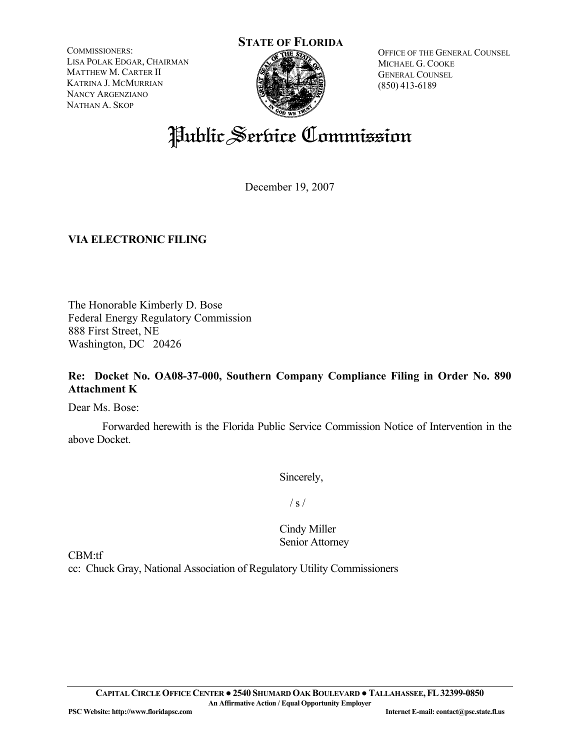COMMISSIONERS: LISA POLAK EDGAR, CHAIRMAN MATTHEW M. CARTER II KATRINA J. MCMURRIAN NANCY ARGENZIANO NATHAN A. SKOP



OFFICE OF THE GENERAL COUNSEL MICHAEL G. COOKE GENERAL COUNSEL (850) 413-6189

# Public Service Commission

December 19, 2007

## **VIA ELECTRONIC FILING**

The Honorable Kimberly D. Bose Federal Energy Regulatory Commission 888 First Street, NE Washington, DC 20426

## **Re: Docket No. OA08-37-000, Southern Company Compliance Filing in Order No. 890 Attachment K**

Dear Ms. Bose:

Forwarded herewith is the Florida Public Service Commission Notice of Intervention in the above Docket.

Sincerely,

 $/ s /$ 

Cindy Miller Senior Attorney

CBM:tf

cc: Chuck Gray, National Association of Regulatory Utility Commissioners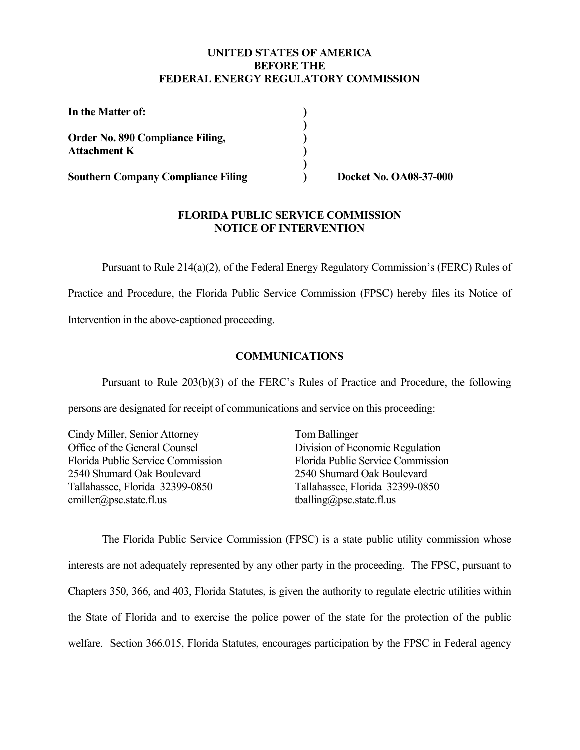#### **UNITED STATES OF AMERICA BEFORE THE FEDERAL ENERGY REGULATORY COMMISSION**

| In the Matter of:                                              |  |
|----------------------------------------------------------------|--|
| <b>Order No. 890 Compliance Filing,</b><br><b>Attachment K</b> |  |
| <b>Southern Company Compliance Filing</b>                      |  |

**) Docket No. OA08-37-000** 

#### **FLORIDA PUBLIC SERVICE COMMISSION NOTICE OF INTERVENTION**

Pursuant to Rule 214(a)(2), of the Federal Energy Regulatory Commission's (FERC) Rules of

Practice and Procedure, the Florida Public Service Commission (FPSC) hereby files its Notice of

Intervention in the above-captioned proceeding.

#### **COMMUNICATIONS**

Pursuant to Rule 203(b)(3) of the FERC's Rules of Practice and Procedure, the following

persons are designated for receipt of communications and service on this proceeding:

Cindy Miller, Senior Attorney Office of the General Counsel Florida Public Service Commission 2540 Shumard Oak Boulevard Tallahassee, Florida 32399-0850 cmiller@psc.state.fl.us

Tom Ballinger Division of Economic Regulation Florida Public Service Commission 2540 Shumard Oak Boulevard Tallahassee, Florida 32399-0850 tballing@psc.state.fl.us

 The Florida Public Service Commission (FPSC) is a state public utility commission whose interests are not adequately represented by any other party in the proceeding. The FPSC, pursuant to Chapters 350, 366, and 403, Florida Statutes, is given the authority to regulate electric utilities within the State of Florida and to exercise the police power of the state for the protection of the public welfare. Section 366.015, Florida Statutes, encourages participation by the FPSC in Federal agency